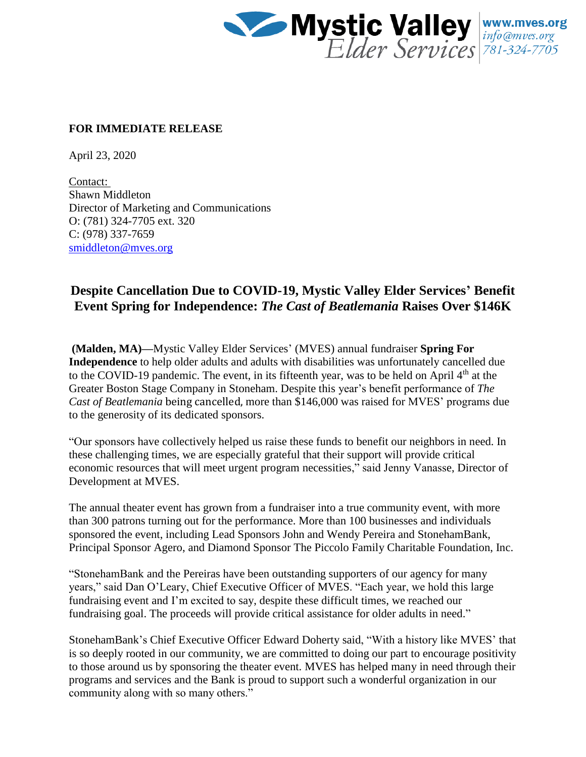

## **FOR IMMEDIATE RELEASE**

April 23, 2020

Contact: Shawn Middleton Director of Marketing and Communications O: (781) 324-7705 ext. 320 C: (978) 337-7659 [smiddleton@mves.org](mailto:smiddleton@mves.org)

## **Despite Cancellation Due to COVID-19, Mystic Valley Elder Services' Benefit Event Spring for Independence:** *The Cast of Beatlemania* **Raises Over \$146K**

**(Malden, MA)—**Mystic Valley Elder Services' (MVES) annual fundraiser **Spring For Independence** to help older adults and adults with disabilities was unfortunately cancelled due to the COVID-19 pandemic. The event, in its fifteenth year, was to be held on April  $4<sup>th</sup>$  at the Greater Boston Stage Company in Stoneham. Despite this year's benefit performance of *The Cast of Beatlemania* being cancelled, more than \$146,000 was raised for MVES' programs due to the generosity of its dedicated sponsors.

"Our sponsors have collectively helped us raise these funds to benefit our neighbors in need. In these challenging times, we are especially grateful that their support will provide critical economic resources that will meet urgent program necessities," said Jenny Vanasse, Director of Development at MVES.

The annual theater event has grown from a fundraiser into a true community event, with more than 300 patrons turning out for the performance. More than 100 businesses and individuals sponsored the event, including Lead Sponsors John and Wendy Pereira and StonehamBank, Principal Sponsor Agero, and Diamond Sponsor The Piccolo Family Charitable Foundation, Inc.

"StonehamBank and the Pereiras have been outstanding supporters of our agency for many years," said Dan O'Leary, Chief Executive Officer of MVES. "Each year, we hold this large fundraising event and I'm excited to say, despite these difficult times, we reached our fundraising goal. The proceeds will provide critical assistance for older adults in need."

StonehamBank's Chief Executive Officer Edward Doherty said, "With a history like MVES' that is so deeply rooted in our community, we are committed to doing our part to encourage positivity to those around us by sponsoring the theater event. MVES has helped many in need through their programs and services and the Bank is proud to support such a wonderful organization in our community along with so many others."